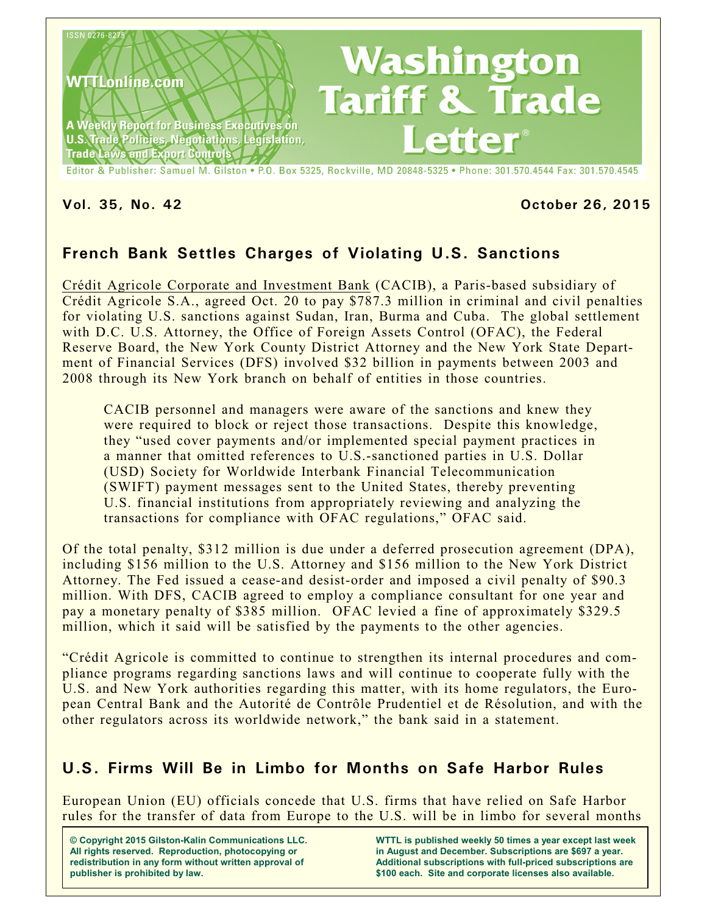

Editor & Publisher: Samuel M. Gilston . P.O. Box 5325, Rockville, MD 20848-5325 . Phone: 301.570.4544 Fax: 301.570.4545

#### **Vol. 35, No. 42 October 26, 2015**

# **French Bank Settles Charges of Violating U.S. Sanctions**

Crédit Agricole Corporate and Investment Bank (CACIB), a Paris-based subsidiary of Crédit Agricole S.A., agreed Oct. 20 to pay \$787.3 million in criminal and civil penalties for violating U.S. sanctions against Sudan, Iran, Burma and Cuba. The global settlement with D.C. U.S. Attorney, the Office of Foreign Assets Control (OFAC), the Federal Reserve Board, the New York County District Attorney and the New York State Department of Financial Services (DFS) involved \$32 billion in payments between 2003 and 2008 through its New York branch on behalf of entities in those countries.

CACIB personnel and managers were aware of the sanctions and knew they were required to block or reject those transactions. Despite this knowledge, they "used cover payments and/or implemented special payment practices in a manner that omitted references to U.S.-sanctioned parties in U.S. Dollar (USD) Society for Worldwide Interbank Financial Telecommunication (SWIFT) payment messages sent to the United States, thereby preventing U.S. financial institutions from appropriately reviewing and analyzing the transactions for compliance with OFAC regulations," OFAC said.

Of the total penalty, \$312 million is due under a deferred prosecution agreement (DPA), including \$156 million to the U.S. Attorney and \$156 million to the New York District Attorney. The Fed issued a cease-and desist-order and imposed a civil penalty of \$90.3 million. With DFS, CACIB agreed to employ a compliance consultant for one year and pay a monetary penalty of \$385 million. OFAC levied a fine of approximately \$329.5 million, which it said will be satisfied by the payments to the other agencies.

"Crédit Agricole is committed to continue to strengthen its internal procedures and compliance programs regarding sanctions laws and will continue to cooperate fully with the U.S. and New York authorities regarding this matter, with its home regulators, the European Central Bank and the Autorité de Contrôle Prudentiel et de Résolution, and with the other regulators across its worldwide network," the bank said in a statement.

## **U.S. Firms Will Be in Limbo for Months on Safe Harbor Rules**

European Union (EU) officials concede that U.S. firms that have relied on Safe Harbor rules for the transfer of data from Europe to the U.S. will be in limbo for several months

**© Copyright 2015 Gilston-Kalin Communications LLC. All rights reserved. Reproduction, photocopying or redistribution in any form without written approval of publisher is prohibited by law.** 

**WTTL is published weekly 50 times a year except last week in August and December. Subscriptions are \$697 a year. Additional subscriptions with full-priced subscriptions are \$100 each. Site and corporate licenses also available.**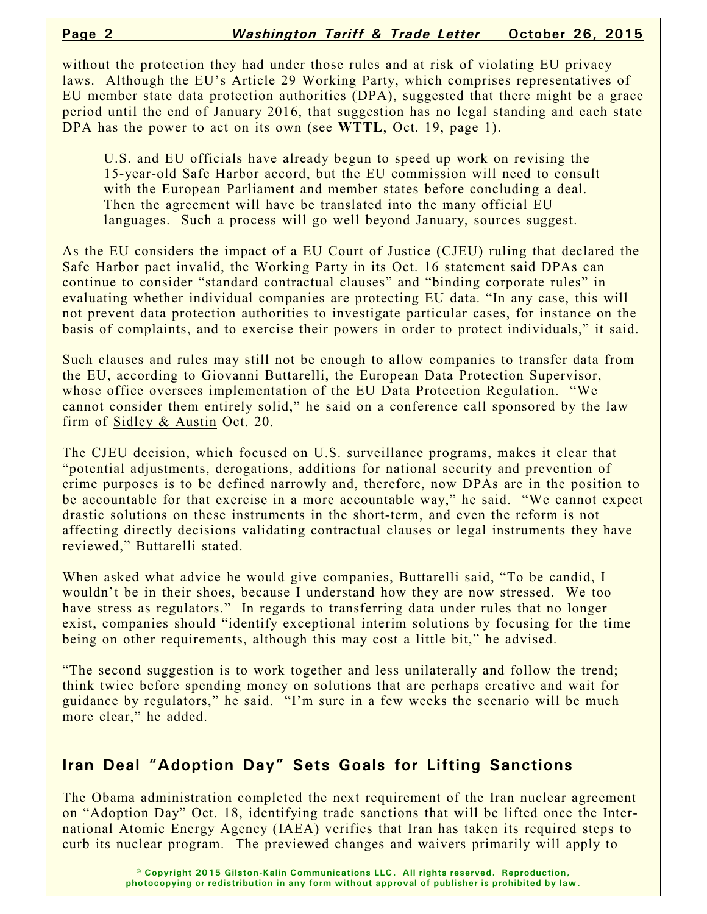without the protection they had under those rules and at risk of violating EU privacy laws. Although the EU's Article 29 Working Party, which comprises representatives of EU member state data protection authorities (DPA), suggested that there might be a grace period until the end of January 2016, that suggestion has no legal standing and each state DPA has the power to act on its own (see **WTTL**, Oct. 19, page 1).

U.S. and EU officials have already begun to speed up work on revising the 15-year-old Safe Harbor accord, but the EU commission will need to consult with the European Parliament and member states before concluding a deal. Then the agreement will have be translated into the many official EU languages. Such a process will go well beyond January, sources suggest.

As the EU considers the impact of a EU Court of Justice (CJEU) ruling that declared the Safe Harbor pact invalid, the Working Party in its Oct. 16 statement said DPAs can continue to consider "standard contractual clauses" and "binding corporate rules" in evaluating whether individual companies are protecting EU data. "In any case, this will not prevent data protection authorities to investigate particular cases, for instance on the basis of complaints, and to exercise their powers in order to protect individuals," it said.

Such clauses and rules may still not be enough to allow companies to transfer data from the EU, according to Giovanni Buttarelli, the European Data Protection Supervisor, whose office oversees implementation of the EU Data Protection Regulation. "We cannot consider them entirely solid," he said on a conference call sponsored by the law firm of Sidley & Austin Oct. 20.

The CJEU decision, which focused on U.S. surveillance programs, makes it clear that "potential adjustments, derogations, additions for national security and prevention of crime purposes is to be defined narrowly and, therefore, now DPAs are in the position to be accountable for that exercise in a more accountable way," he said. "We cannot expect drastic solutions on these instruments in the short-term, and even the reform is not affecting directly decisions validating contractual clauses or legal instruments they have reviewed," Buttarelli stated.

When asked what advice he would give companies, Buttarelli said, "To be candid, I wouldn't be in their shoes, because I understand how they are now stressed. We too have stress as regulators." In regards to transferring data under rules that no longer exist, companies should "identify exceptional interim solutions by focusing for the time being on other requirements, although this may cost a little bit," he advised.

"The second suggestion is to work together and less unilaterally and follow the trend; think twice before spending money on solutions that are perhaps creative and wait for guidance by regulators," he said. "I'm sure in a few weeks the scenario will be much more clear," he added.

# **Iran Deal "Adoption Day" Sets Goals for Lifting Sanctions**

The Obama administration completed the next requirement of the Iran nuclear agreement on "Adoption Day" Oct. 18, identifying trade sanctions that will be lifted once the International Atomic Energy Agency (IAEA) verifies that Iran has taken its required steps to curb its nuclear program. The previewed changes and waivers primarily will apply to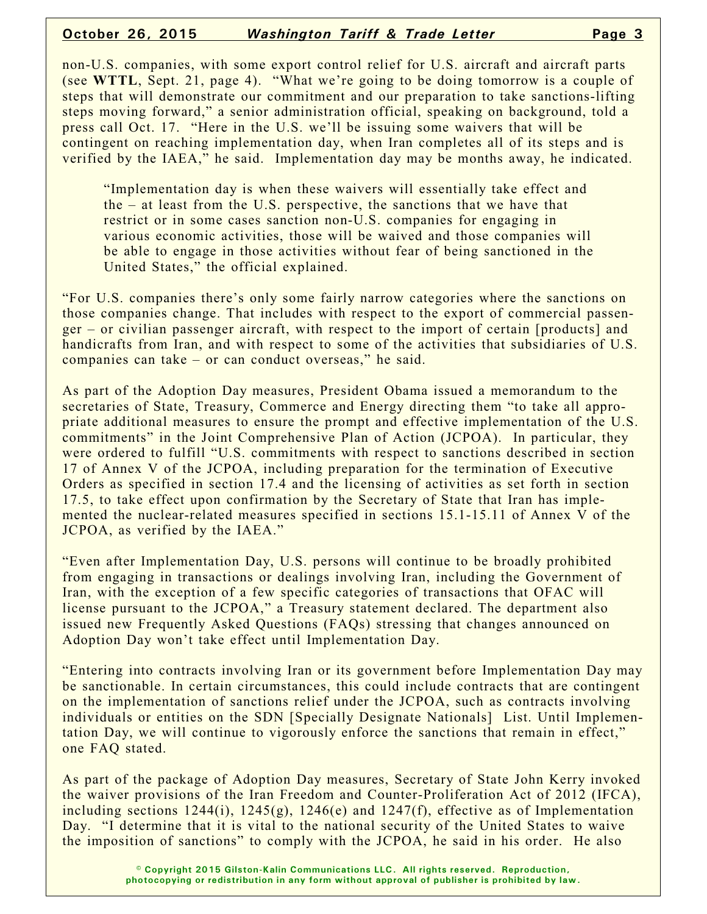#### **October 26, 2015** *Washington Tariff & Trade Letter* **Page 3**

non-U.S. companies, with some export control relief for U.S. aircraft and aircraft parts (see **WTTL**, Sept. 21, page 4). "What we're going to be doing tomorrow is a couple of steps that will demonstrate our commitment and our preparation to take sanctions-lifting steps moving forward," a senior administration official, speaking on background, told a press call Oct. 17. "Here in the U.S. we'll be issuing some waivers that will be contingent on reaching implementation day, when Iran completes all of its steps and is verified by the IAEA," he said. Implementation day may be months away, he indicated.

"Implementation day is when these waivers will essentially take effect and the – at least from the U.S. perspective, the sanctions that we have that restrict or in some cases sanction non-U.S. companies for engaging in various economic activities, those will be waived and those companies will be able to engage in those activities without fear of being sanctioned in the United States," the official explained.

"For U.S. companies there's only some fairly narrow categories where the sanctions on those companies change. That includes with respect to the export of commercial passenger – or civilian passenger aircraft, with respect to the import of certain [products] and handicrafts from Iran, and with respect to some of the activities that subsidiaries of U.S. companies can take – or can conduct overseas," he said.

As part of the Adoption Day measures, President Obama issued a memorandum to the secretaries of State, Treasury, Commerce and Energy directing them "to take all appropriate additional measures to ensure the prompt and effective implementation of the U.S. commitments" in the Joint Comprehensive Plan of Action (JCPOA). In particular, they were ordered to fulfill "U.S. commitments with respect to sanctions described in section 17 of Annex V of the JCPOA, including preparation for the termination of Executive Orders as specified in section 17.4 and the licensing of activities as set forth in section 17.5, to take effect upon confirmation by the Secretary of State that Iran has implemented the nuclear-related measures specified in sections 15.1-15.11 of Annex V of the JCPOA, as verified by the IAEA."

"Even after Implementation Day, U.S. persons will continue to be broadly prohibited from engaging in transactions or dealings involving Iran, including the Government of Iran, with the exception of a few specific categories of transactions that OFAC will license pursuant to the JCPOA," a Treasury statement declared. The department also issued new Frequently Asked Questions (FAQs) stressing that changes announced on Adoption Day won't take effect until Implementation Day.

"Entering into contracts involving Iran or its government before Implementation Day may be sanctionable. In certain circumstances, this could include contracts that are contingent on the implementation of sanctions relief under the JCPOA, such as contracts involving individuals or entities on the SDN [Specially Designate Nationals] List. Until Implementation Day, we will continue to vigorously enforce the sanctions that remain in effect," one FAQ stated.

As part of the package of Adoption Day measures, Secretary of State John Kerry invoked the waiver provisions of the Iran Freedom and Counter-Proliferation Act of 2012 (IFCA), including sections  $1244(i)$ ,  $1245(g)$ ,  $1246(e)$  and  $1247(f)$ , effective as of Implementation Day. "I determine that it is vital to the national security of the United States to waive the imposition of sanctions" to comply with the JCPOA, he said in his order. He also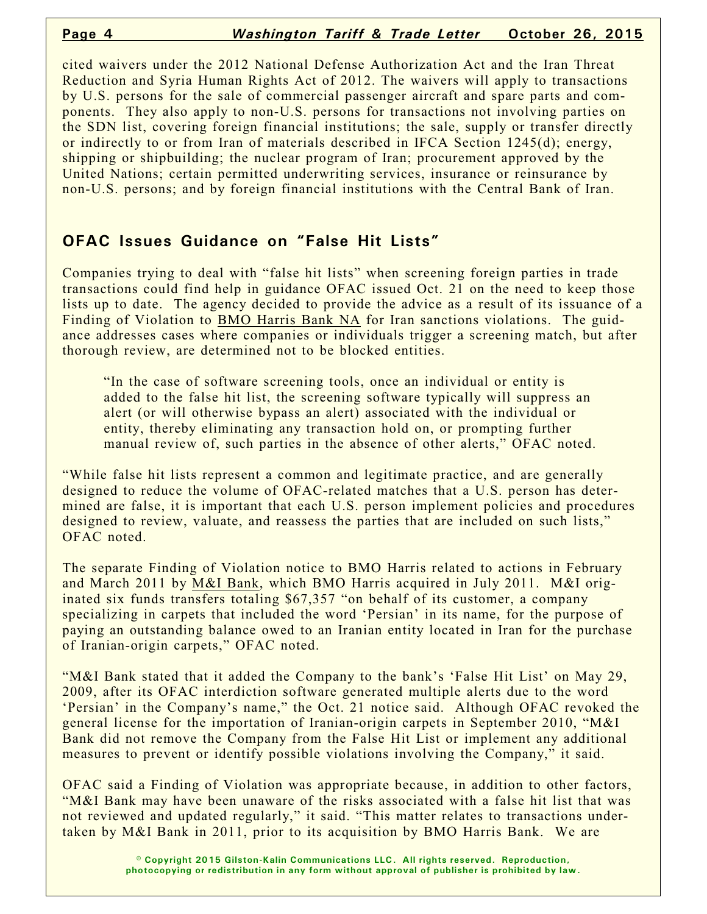cited waivers under the 2012 National Defense Authorization Act and the Iran Threat Reduction and Syria Human Rights Act of 2012. The waivers will apply to transactions by U.S. persons for the sale of commercial passenger aircraft and spare parts and components. They also apply to non-U.S. persons for transactions not involving parties on the SDN list, covering foreign financial institutions; the sale, supply or transfer directly or indirectly to or from Iran of materials described in IFCA Section 1245(d); energy, shipping or shipbuilding; the nuclear program of Iran; procurement approved by the United Nations; certain permitted underwriting services, insurance or reinsurance by non-U.S. persons; and by foreign financial institutions with the Central Bank of Iran.

# **OFAC Issues Guidance on "False Hit Lists"**

Companies trying to deal with "false hit lists" when screening foreign parties in trade transactions could find help in guidance OFAC issued Oct. 21 on the need to keep those lists up to date. The agency decided to provide the advice as a result of its issuance of a Finding of Violation to BMO Harris Bank NA for Iran sanctions violations. The guidance addresses cases where companies or individuals trigger a screening match, but after thorough review, are determined not to be blocked entities.

"In the case of software screening tools, once an individual or entity is added to the false hit list, the screening software typically will suppress an alert (or will otherwise bypass an alert) associated with the individual or entity, thereby eliminating any transaction hold on, or prompting further manual review of, such parties in the absence of other alerts," OFAC noted.

"While false hit lists represent a common and legitimate practice, and are generally designed to reduce the volume of OFAC-related matches that a U.S. person has determined are false, it is important that each U.S. person implement policies and procedures designed to review, valuate, and reassess the parties that are included on such lists," OFAC noted.

The separate Finding of Violation notice to BMO Harris related to actions in February and March 2011 by M&I Bank, which BMO Harris acquired in July 2011. M&I originated six funds transfers totaling \$67,357 "on behalf of its customer, a company specializing in carpets that included the word 'Persian' in its name, for the purpose of paying an outstanding balance owed to an Iranian entity located in Iran for the purchase of Iranian-origin carpets," OFAC noted.

"M&I Bank stated that it added the Company to the bank's 'False Hit List' on May 29, 2009, after its OFAC interdiction software generated multiple alerts due to the word 'Persian' in the Company's name," the Oct. 21 notice said. Although OFAC revoked the general license for the importation of Iranian-origin carpets in September 2010, "M&I Bank did not remove the Company from the False Hit List or implement any additional measures to prevent or identify possible violations involving the Company," it said.

OFAC said a Finding of Violation was appropriate because, in addition to other factors, "M&I Bank may have been unaware of the risks associated with a false hit list that was not reviewed and updated regularly," it said. "This matter relates to transactions undertaken by M&I Bank in 2011, prior to its acquisition by BMO Harris Bank. We are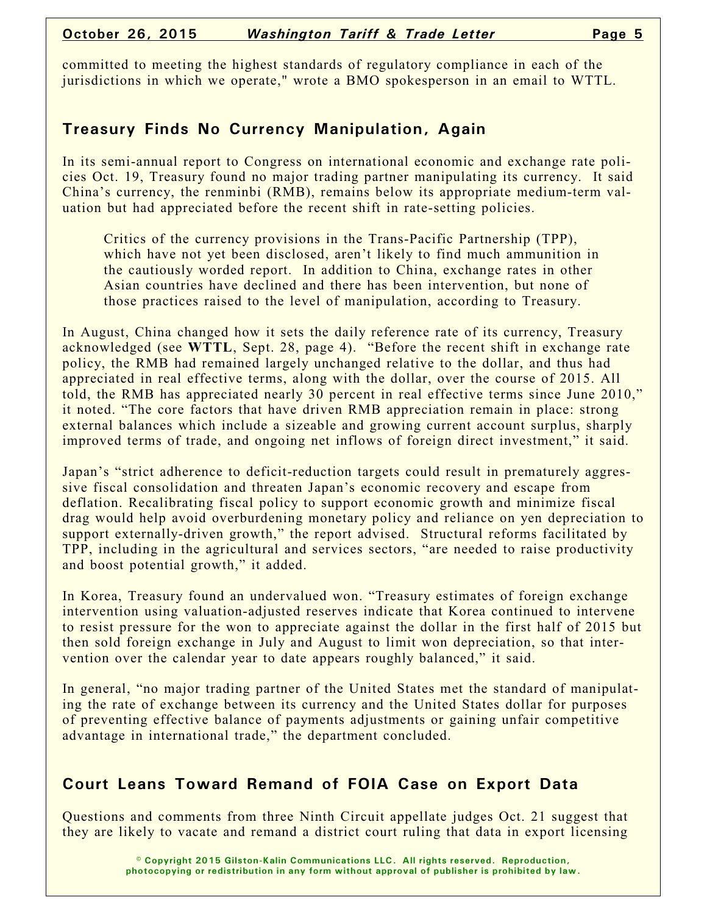committed to meeting the highest standards of regulatory compliance in each of the jurisdictions in which we operate," wrote a BMO spokesperson in an email to WTTL.

# **Treasury Finds No Currency Manipulation, Again**

In its semi-annual report to Congress on international economic and exchange rate policies Oct. 19, Treasury found no major trading partner manipulating its currency. It said China's currency, the renminbi (RMB), remains below its appropriate medium-term valuation but had appreciated before the recent shift in rate-setting policies.

Critics of the currency provisions in the Trans-Pacific Partnership (TPP), which have not yet been disclosed, aren't likely to find much ammunition in the cautiously worded report. In addition to China, exchange rates in other Asian countries have declined and there has been intervention, but none of those practices raised to the level of manipulation, according to Treasury.

In August, China changed how it sets the daily reference rate of its currency, Treasury acknowledged (see **WTTL**, Sept. 28, page 4). "Before the recent shift in exchange rate policy, the RMB had remained largely unchanged relative to the dollar, and thus had appreciated in real effective terms, along with the dollar, over the course of 2015. All told, the RMB has appreciated nearly 30 percent in real effective terms since June 2010," it noted. "The core factors that have driven RMB appreciation remain in place: strong external balances which include a sizeable and growing current account surplus, sharply improved terms of trade, and ongoing net inflows of foreign direct investment," it said.

Japan's "strict adherence to deficit-reduction targets could result in prematurely aggressive fiscal consolidation and threaten Japan's economic recovery and escape from deflation. Recalibrating fiscal policy to support economic growth and minimize fiscal drag would help avoid overburdening monetary policy and reliance on yen depreciation to support externally-driven growth," the report advised. Structural reforms facilitated by TPP, including in the agricultural and services sectors, "are needed to raise productivity and boost potential growth," it added.

In Korea, Treasury found an undervalued won. "Treasury estimates of foreign exchange intervention using valuation-adjusted reserves indicate that Korea continued to intervene to resist pressure for the won to appreciate against the dollar in the first half of 2015 but then sold foreign exchange in July and August to limit won depreciation, so that intervention over the calendar year to date appears roughly balanced," it said.

In general, "no major trading partner of the United States met the standard of manipulating the rate of exchange between its currency and the United States dollar for purposes of preventing effective balance of payments adjustments or gaining unfair competitive advantage in international trade," the department concluded.

## **Court Leans Toward Remand of FOIA Case on Export Data**

Questions and comments from three Ninth Circuit appellate judges Oct. 21 suggest that they are likely to vacate and remand a district court ruling that data in export licensing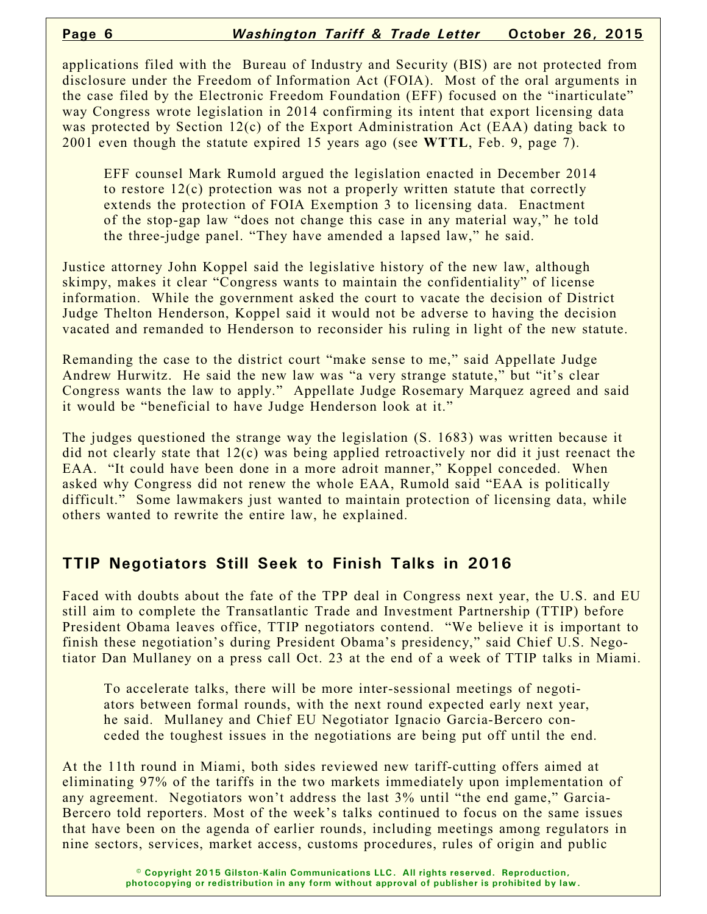applications filed with the Bureau of Industry and Security (BIS) are not protected from disclosure under the Freedom of Information Act (FOIA). Most of the oral arguments in the case filed by the Electronic Freedom Foundation (EFF) focused on the "inarticulate" way Congress wrote legislation in 2014 confirming its intent that export licensing data was protected by Section 12(c) of the Export Administration Act (EAA) dating back to 2001 even though the statute expired 15 years ago (see **WTTL**, Feb. 9, page 7).

EFF counsel Mark Rumold argued the legislation enacted in December 2014 to restore 12(c) protection was not a properly written statute that correctly extends the protection of FOIA Exemption 3 to licensing data. Enactment of the stop-gap law "does not change this case in any material way," he told the three-judge panel. "They have amended a lapsed law," he said.

Justice attorney John Koppel said the legislative history of the new law, although skimpy, makes it clear "Congress wants to maintain the confidentiality" of license information. While the government asked the court to vacate the decision of District Judge Thelton Henderson, Koppel said it would not be adverse to having the decision vacated and remanded to Henderson to reconsider his ruling in light of the new statute.

Remanding the case to the district court "make sense to me," said Appellate Judge Andrew Hurwitz. He said the new law was "a very strange statute," but "it's clear Congress wants the law to apply." Appellate Judge Rosemary Marquez agreed and said it would be "beneficial to have Judge Henderson look at it."

The judges questioned the strange way the legislation (S. 1683) was written because it did not clearly state that  $12(c)$  was being applied retroactively nor did it just reenact the EAA. "It could have been done in a more adroit manner," Koppel conceded. When asked why Congress did not renew the whole EAA, Rumold said "EAA is politically difficult." Some lawmakers just wanted to maintain protection of licensing data, while others wanted to rewrite the entire law, he explained.

## **TTIP Negotiators Still Seek to Finish Talks in 2016**

Faced with doubts about the fate of the TPP deal in Congress next year, the U.S. and EU still aim to complete the Transatlantic Trade and Investment Partnership (TTIP) before President Obama leaves office, TTIP negotiators contend. "We believe it is important to finish these negotiation's during President Obama's presidency," said Chief U.S. Negotiator Dan Mullaney on a press call Oct. 23 at the end of a week of TTIP talks in Miami.

To accelerate talks, there will be more inter-sessional meetings of negotiators between formal rounds, with the next round expected early next year, he said. Mullaney and Chief EU Negotiator Ignacio Garcia-Bercero conceded the toughest issues in the negotiations are being put off until the end.

At the 11th round in Miami, both sides reviewed new tariff-cutting offers aimed at eliminating 97% of the tariffs in the two markets immediately upon implementation of any agreement. Negotiators won't address the last 3% until "the end game," Garcia-Bercero told reporters. Most of the week's talks continued to focus on the same issues that have been on the agenda of earlier rounds, including meetings among regulators in nine sectors, services, market access, customs procedures, rules of origin and public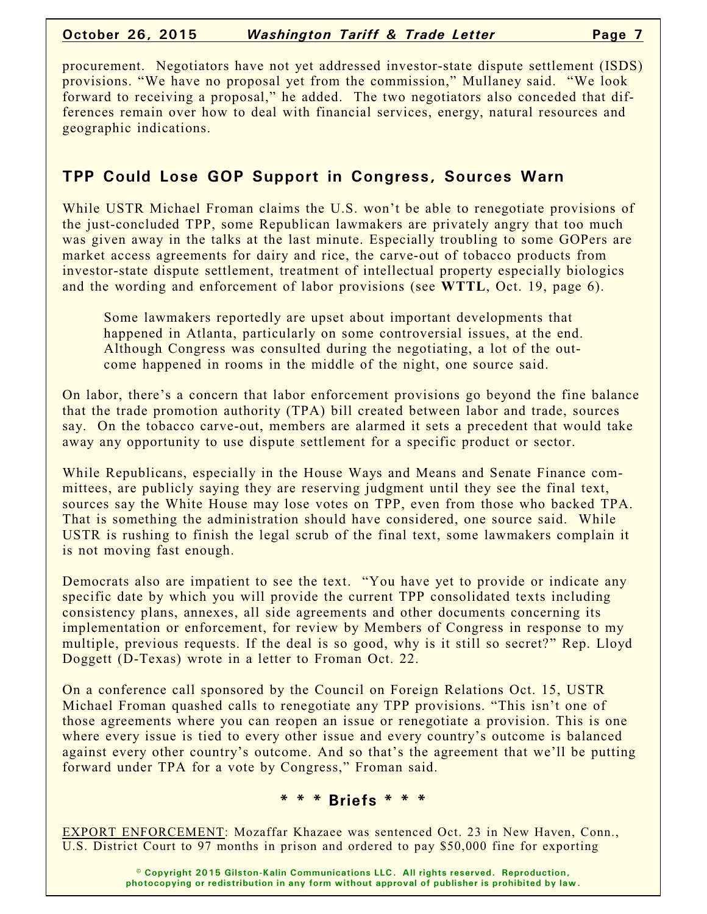#### **October 26, 2015** *Washington Tariff & Trade Letter* **Page 7**

procurement. Negotiators have not yet addressed investor-state dispute settlement (ISDS) provisions. "We have no proposal yet from the commission," Mullaney said. "We look forward to receiving a proposal," he added. The two negotiators also conceded that differences remain over how to deal with financial services, energy, natural resources and geographic indications.

# **TPP Could Lose GOP Support in Congress, Sources Warn**

While USTR Michael Froman claims the U.S. won't be able to renegotiate provisions of the just-concluded TPP, some Republican lawmakers are privately angry that too much was given away in the talks at the last minute. Especially troubling to some GOPers are market access agreements for dairy and rice, the carve-out of tobacco products from investor-state dispute settlement, treatment of intellectual property especially biologics and the wording and enforcement of labor provisions (see **WTTL**, Oct. 19, page 6).

Some lawmakers reportedly are upset about important developments that happened in Atlanta, particularly on some controversial issues, at the end. Although Congress was consulted during the negotiating, a lot of the outcome happened in rooms in the middle of the night, one source said.

On labor, there's a concern that labor enforcement provisions go beyond the fine balance that the trade promotion authority (TPA) bill created between labor and trade, sources say. On the tobacco carve-out, members are alarmed it sets a precedent that would take away any opportunity to use dispute settlement for a specific product or sector.

While Republicans, especially in the House Ways and Means and Senate Finance committees, are publicly saying they are reserving judgment until they see the final text, sources say the White House may lose votes on TPP, even from those who backed TPA. That is something the administration should have considered, one source said. While USTR is rushing to finish the legal scrub of the final text, some lawmakers complain it is not moving fast enough.

Democrats also are impatient to see the text. "You have yet to provide or indicate any specific date by which you will provide the current TPP consolidated texts including consistency plans, annexes, all side agreements and other documents concerning its implementation or enforcement, for review by Members of Congress in response to my multiple, previous requests. If the deal is so good, why is it still so secret?" Rep. Lloyd Doggett (D-Texas) wrote in a letter to Froman Oct. 22.

On a conference call sponsored by the Council on Foreign Relations Oct. 15, USTR Michael Froman quashed calls to renegotiate any TPP provisions. "This isn't one of those agreements where you can reopen an issue or renegotiate a provision. This is one where every issue is tied to every other issue and every country's outcome is balanced against every other country's outcome. And so that's the agreement that we'll be putting forward under TPA for a vote by Congress," Froman said.

#### **\* \* \* Briefs \* \* \***

EXPORT ENFORCEMENT: Mozaffar Khazaee was sentenced Oct. 23 in New Haven, Conn., U.S. District Court to 97 months in prison and ordered to pay \$50,000 fine for exporting